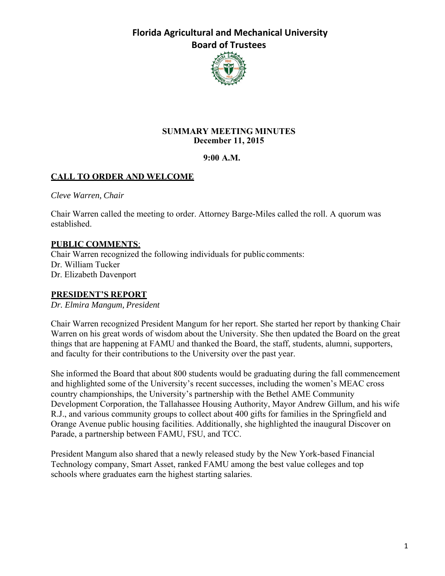

#### **SUMMARY MEETING MINUTES December 11, 2015**

#### **9:00 A.M.**

## **CALL TO ORDER AND WELCOME**

*Cleve Warren, Chair*

Chair Warren called the meeting to order. Attorney Barge-Miles called the roll. A quorum was established.

#### **PUBLIC COMMENTS**:

Chair Warren recognized the following individuals for public comments: Dr. William Tucker Dr. Elizabeth Davenport

#### **PRESIDENT'S REPORT**

*Dr. Elmira Mangum, President*

Chair Warren recognized President Mangum for her report. She started her report by thanking Chair Warren on his great words of wisdom about the University. She then updated the Board on the great things that are happening at FAMU and thanked the Board, the staff, students, alumni, supporters, and faculty for their contributions to the University over the past year.

She informed the Board that about 800 students would be graduating during the fall commencement and highlighted some of the University's recent successes, including the women's MEAC cross country championships, the University's partnership with the Bethel AME Community Development Corporation, the Tallahassee Housing Authority, Mayor Andrew Gillum, and his wife R.J., and various community groups to collect about 400 gifts for families in the Springfield and Orange Avenue public housing facilities. Additionally, she highlighted the inaugural Discover on Parade, a partnership between FAMU, FSU, and TCC.

President Mangum also shared that a newly released study by the New York-based Financial Technology company, Smart Asset, ranked FAMU among the best value colleges and top schools where graduates earn the highest starting salaries.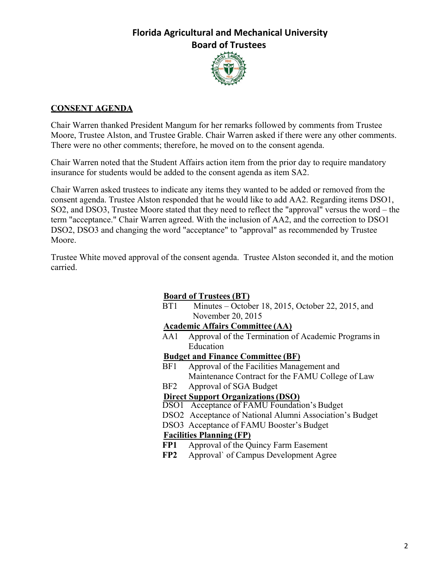

#### **CONSENT AGENDA**

Chair Warren thanked President Mangum for her remarks followed by comments from Trustee Moore, Trustee Alston, and Trustee Grable. Chair Warren asked if there were any other comments. There were no other comments; therefore, he moved on to the consent agenda.

Chair Warren noted that the Student Affairs action item from the prior day to require mandatory insurance for students would be added to the consent agenda as item SA2.

Chair Warren asked trustees to indicate any items they wanted to be added or removed from the consent agenda. Trustee Alston responded that he would like to add AA2. Regarding items DSO1, SO2, and DSO3, Trustee Moore stated that they need to reflect the "approval" versus the word – the term "acceptance." Chair Warren agreed. With the inclusion of AA2, and the correction to DSO1 DSO2, DSO3 and changing the word "acceptance" to "approval" as recommended by Trustee Moore.

Trustee White moved approval of the consent agenda. Trustee Alston seconded it, and the motion carried.

## **Board of Trustees (BT)**

BT1 Minutes – October 18, 2015, October 22, 2015, and November 20, 2015

#### **Academic Affairs Committee (AA)**

AA1 Approval of the Termination of Academic Programs in Education

#### **Budget and Finance Committee (BF)**

- BF1 Approval of the Facilities Management and Maintenance Contract for the FAMU College of Law
- BF2 Approval of SGA Budget

#### **Direct Support Organizations (DSO)**

- DSO1 Acceptance of FAMU Foundation's Budget
- DSO2 Acceptance of National Alumni Association's Budget
- DSO3 Acceptance of FAMU Booster's Budget

#### **Facilities Planning (FP)**

- **FP1** Approval of the Quincy Farm Easement
- **FP2** Approval` of Campus Development Agree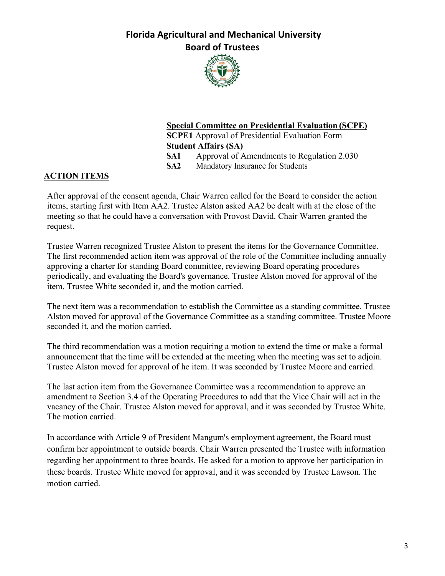

### **Special Committee on Presidential Evaluation (SCPE) SCPE1** Approval of Presidential Evaluation Form

**Student Affairs (SA)** 

**SA1** Approval of Amendments to Regulation 2.030

**SA2** Mandatory Insurance for Students

### **ACTION ITEMS**

After approval of the consent agenda, Chair Warren called for the Board to consider the action items, starting first with Item AA2. Trustee Alston asked AA2 be dealt with at the close of the meeting so that he could have a conversation with Provost David. Chair Warren granted the request.

Trustee Warren recognized Trustee Alston to present the items for the Governance Committee. The first recommended action item was approval of the role of the Committee including annually approving a charter for standing Board committee, reviewing Board operating procedures periodically, and evaluating the Board's governance. Trustee Alston moved for approval of the item. Trustee White seconded it, and the motion carried.

The next item was a recommendation to establish the Committee as a standing committee. Trustee Alston moved for approval of the Governance Committee as a standing committee. Trustee Moore seconded it, and the motion carried.

The third recommendation was a motion requiring a motion to extend the time or make a formal announcement that the time will be extended at the meeting when the meeting was set to adjoin. Trustee Alston moved for approval of he item. It was seconded by Trustee Moore and carried.

The last action item from the Governance Committee was a recommendation to approve an amendment to Section 3.4 of the Operating Procedures to add that the Vice Chair will act in the vacancy of the Chair. Trustee Alston moved for approval, and it was seconded by Trustee White. The motion carried.

In accordance with Article 9 of President Mangum's employment agreement, the Board must confirm her appointment to outside boards. Chair Warren presented the Trustee with information regarding her appointment to three boards. He asked for a motion to approve her participation in these boards. Trustee White moved for approval, and it was seconded by Trustee Lawson. The motion carried.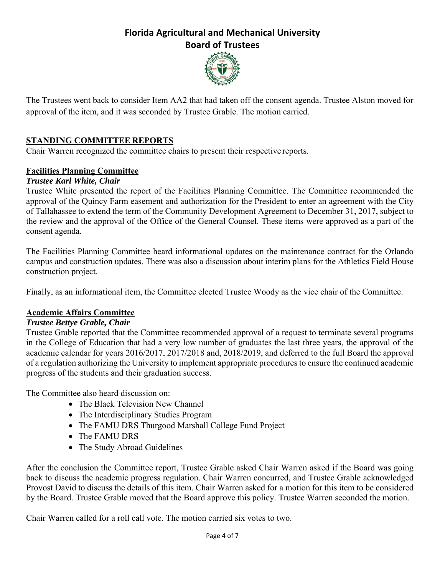

The Trustees went back to consider Item AA2 that had taken off the consent agenda. Trustee Alston moved for approval of the item, and it was seconded by Trustee Grable. The motion carried.

## **STANDING COMMITTEE REPORTS**

Chair Warren recognized the committee chairs to present their respective reports.

#### **Facilities Planning Committee**

#### *Trustee Karl White, Chair*

Trustee White presented the report of the Facilities Planning Committee. The Committee recommended the approval of the Quincy Farm easement and authorization for the President to enter an agreement with the City of Tallahassee to extend the term of the Community Development Agreement to December 31, 2017, subject to the review and the approval of the Office of the General Counsel. These items were approved as a part of the consent agenda.

The Facilities Planning Committee heard informational updates on the maintenance contract for the Orlando campus and construction updates. There was also a discussion about interim plans for the Athletics Field House construction project.

Finally, as an informational item, the Committee elected Trustee Woody as the vice chair of the Committee.

#### **Academic Affairs Committee**

#### *Trustee Bettye Grable, Chair*

Trustee Grable reported that the Committee recommended approval of a request to terminate several programs in the College of Education that had a very low number of graduates the last three years, the approval of the academic calendar for years 2016/2017, 2017/2018 and, 2018/2019, and deferred to the full Board the approval of a regulation authorizing the University to implement appropriate procedures to ensure the continued academic progress of the students and their graduation success.

The Committee also heard discussion on:

- The Black Television New Channel
- The Interdisciplinary Studies Program
- The FAMU DRS Thurgood Marshall College Fund Project
- The FAMU DRS
- The Study Abroad Guidelines

After the conclusion the Committee report, Trustee Grable asked Chair Warren asked if the Board was going back to discuss the academic progress regulation. Chair Warren concurred, and Trustee Grable acknowledged Provost David to discuss the details of this item. Chair Warren asked for a motion for this item to be considered by the Board. Trustee Grable moved that the Board approve this policy. Trustee Warren seconded the motion.

Chair Warren called for a roll call vote. The motion carried six votes to two.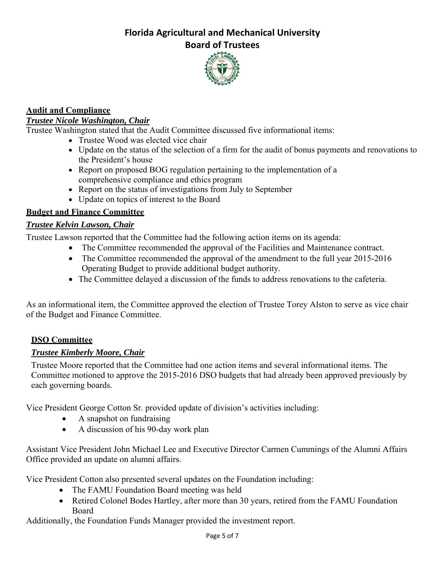

## **Audit and Compliance**

#### *Trustee Nicole Washington, Chair*

Trustee Washington stated that the Audit Committee discussed five informational items:

- Trustee Wood was elected vice chair
- Update on the status of the selection of a firm for the audit of bonus payments and renovations to the President's house
- Report on proposed BOG regulation pertaining to the implementation of a comprehensive compliance and ethics program
- Report on the status of investigations from July to September
- Update on topics of interest to the Board

## **Budget and Finance Committee**

## *Trustee Kelvin Lawson, Chair*

Trustee Lawson reported that the Committee had the following action items on its agenda:

- The Committee recommended the approval of the Facilities and Maintenance contract.
- The Committee recommended the approval of the amendment to the full year 2015-2016 Operating Budget to provide additional budget authority.
- The Committee delayed a discussion of the funds to address renovations to the cafeteria.

As an informational item, the Committee approved the election of Trustee Torey Alston to serve as vice chair of the Budget and Finance Committee.

## **DSO Committee**

#### *Trustee Kimberly Moore, Chair*

Trustee Moore reported that the Committee had one action items and several informational items. The Committee motioned to approve the 2015-2016 DSO budgets that had already been approved previously by each governing boards.

Vice President George Cotton Sr. provided update of division's activities including:

- A snapshot on fundraising
- A discussion of his 90-day work plan

Assistant Vice President John Michael Lee and Executive Director Carmen Cummings of the Alumni Affairs Office provided an update on alumni affairs.

Vice President Cotton also presented several updates on the Foundation including:

- The FAMU Foundation Board meeting was held
- Retired Colonel Bodes Hartley, after more than 30 years, retired from the FAMU Foundation Board

Additionally, the Foundation Funds Manager provided the investment report.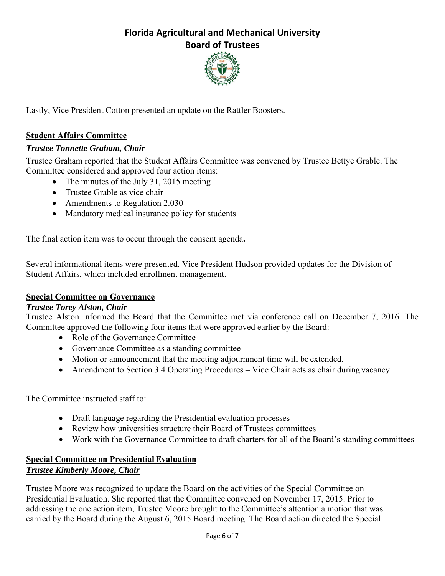

Lastly, Vice President Cotton presented an update on the Rattler Boosters.

### **Student Affairs Committee**

#### *Trustee Tonnette Graham, Chair*

Trustee Graham reported that the Student Affairs Committee was convened by Trustee Bettye Grable. The Committee considered and approved four action items:

- The minutes of the July 31, 2015 meeting
- Trustee Grable as vice chair
- Amendments to Regulation 2.030
- Mandatory medical insurance policy for students

The final action item was to occur through the consent agenda**.** 

Several informational items were presented. Vice President Hudson provided updates for the Division of Student Affairs, which included enrollment management.

#### **Special Committee on Governance**

#### *Trustee Torey Alston, Chair*

Trustee Alston informed the Board that the Committee met via conference call on December 7, 2016. The Committee approved the following four items that were approved earlier by the Board:

- Role of the Governance Committee
- Governance Committee as a standing committee
- Motion or announcement that the meeting adjournment time will be extended.
- Amendment to Section 3.4 Operating Procedures Vice Chair acts as chair during vacancy

The Committee instructed staff to:

- Draft language regarding the Presidential evaluation processes
- Review how universities structure their Board of Trustees committees
- Work with the Governance Committee to draft charters for all of the Board's standing committees

### **Special Committee on Presidential Evaluation** *Trustee Kimberly Moore, Chair*

Trustee Moore was recognized to update the Board on the activities of the Special Committee on Presidential Evaluation. She reported that the Committee convened on November 17, 2015. Prior to addressing the one action item, Trustee Moore brought to the Committee's attention a motion that was carried by the Board during the August 6, 2015 Board meeting. The Board action directed the Special